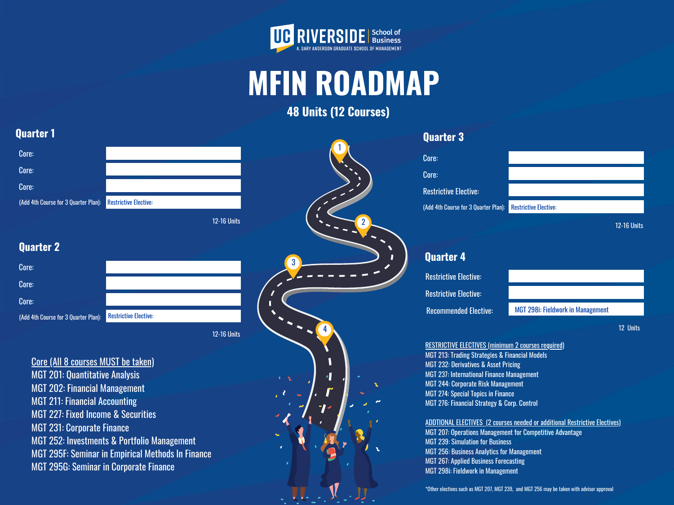| <b>Restrictive Elective:</b> |                    |   |
|------------------------------|--------------------|---|
|                              | <b>12-16 Units</b> |   |
|                              |                    |   |
|                              |                    | 3 |
|                              |                    |   |
|                              |                    |   |
|                              |                    |   |
| <b>Restrictive Elective:</b> |                    |   |
|                              | <b>12-16 Units</b> |   |

4



# **MFIN ROADMAP 48 Units (12 Courses)**

1

# **Quarter 1**

**Quarter 2**

Core: Core: Restrictive Elective: (Add 4th Course for 3 Quarter Plan): Restrictive Elective:

Core:

Core:

Core:



12-16 Units

# **Quarter 4**

12 Units

RESTRICTIVE ELECTIVES (minimum 2 courses required)

- MGT 213: Trading Strategies & Financial Models
- MGT 232: Derivatives & Asset Pricing
- MGT 237: International Finance Management
- MGT 244: Corporate Risk Management
- MGT 274: Special Topics in Finance
- MGT 276: Financial Strategy & Corp. Control

ADDTIONAL ELECTIVES (2 courses needed or additional Restrictive Electives)

| Core:                                                             |  |
|-------------------------------------------------------------------|--|
| Core:                                                             |  |
| Core:                                                             |  |
| <b>(Add 4th Course for 3 Quarter Plan): Restrictive Elective:</b> |  |
|                                                                   |  |

- MGT 207: Operations Management for Competitive Advantage
- MGT 239: Simulation for Business
- MGT 256: Business Analytics for Management
- MGT 267: Applied Business Forecasting
- MGT 298i: Fieldwork in Management

\*Other electives such as MGT 207, MGT 239, and MGT 256 may be taken with advisor approval

| Core (All 8 courses MUST be taken)                       |
|----------------------------------------------------------|
| <b>MGT 201: Quantitative Analysis</b>                    |
| <b>MGT 202: Financial Management</b>                     |
| <b>MGT 211: Financial Accounting</b>                     |
| <b>MGT 227: Fixed Income &amp; Securities</b>            |
| <b>MGT 231: Corporate Finance</b>                        |
| <b>MGT 252: Investments &amp; Portfolio Management</b>   |
| <b>MGT 295F: Seminar in Empirical Methods In Finance</b> |
| MGT 295G: Seminar in Corporate Finance                   |

# 221

Restrictive Elective:

Restrictive Elective:

Recommended Elective: MGT 298i: Fieldwork in Management

(Add 4th Course for 3 Quarter Plan):